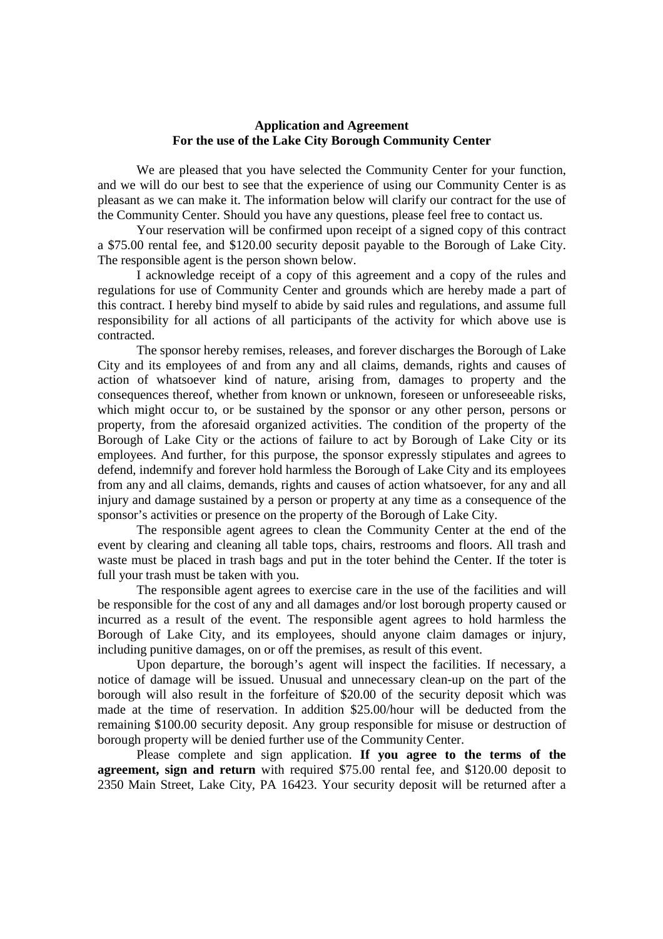## **Application and Agreement For the use of the Lake City Borough Community Center**

We are pleased that you have selected the Community Center for your function, and we will do our best to see that the experience of using our Community Center is as pleasant as we can make it. The information below will clarify our contract for the use of the Community Center. Should you have any questions, please feel free to contact us.

Your reservation will be confirmed upon receipt of a signed copy of this contract a \$75.00 rental fee, and \$120.00 security deposit payable to the Borough of Lake City. The responsible agent is the person shown below.

 I acknowledge receipt of a copy of this agreement and a copy of the rules and regulations for use of Community Center and grounds which are hereby made a part of this contract. I hereby bind myself to abide by said rules and regulations, and assume full responsibility for all actions of all participants of the activity for which above use is contracted.

 The sponsor hereby remises, releases, and forever discharges the Borough of Lake City and its employees of and from any and all claims, demands, rights and causes of action of whatsoever kind of nature, arising from, damages to property and the consequences thereof, whether from known or unknown, foreseen or unforeseeable risks, which might occur to, or be sustained by the sponsor or any other person, persons or property, from the aforesaid organized activities. The condition of the property of the Borough of Lake City or the actions of failure to act by Borough of Lake City or its employees. And further, for this purpose, the sponsor expressly stipulates and agrees to defend, indemnify and forever hold harmless the Borough of Lake City and its employees from any and all claims, demands, rights and causes of action whatsoever, for any and all injury and damage sustained by a person or property at any time as a consequence of the sponsor's activities or presence on the property of the Borough of Lake City.

The responsible agent agrees to clean the Community Center at the end of the event by clearing and cleaning all table tops, chairs, restrooms and floors. All trash and waste must be placed in trash bags and put in the toter behind the Center. If the toter is full your trash must be taken with you.

The responsible agent agrees to exercise care in the use of the facilities and will be responsible for the cost of any and all damages and/or lost borough property caused or incurred as a result of the event. The responsible agent agrees to hold harmless the Borough of Lake City, and its employees, should anyone claim damages or injury, including punitive damages, on or off the premises, as result of this event.

 Upon departure, the borough's agent will inspect the facilities. If necessary, a notice of damage will be issued. Unusual and unnecessary clean-up on the part of the borough will also result in the forfeiture of \$20.00 of the security deposit which was made at the time of reservation. In addition \$25.00/hour will be deducted from the remaining \$100.00 security deposit. Any group responsible for misuse or destruction of borough property will be denied further use of the Community Center.

Please complete and sign application. **If you agree to the terms of the agreement, sign and return** with required \$75.00 rental fee, and \$120.00 deposit to 2350 Main Street, Lake City, PA 16423. Your security deposit will be returned after a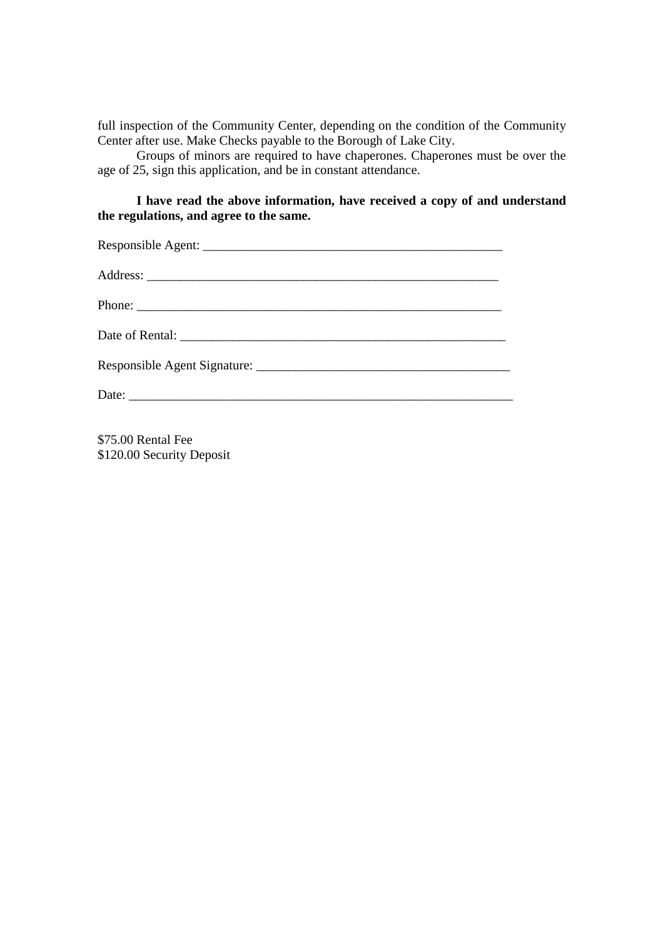full inspection of the Community Center, depending on the condition of the Community Center after use. Make Checks payable to the Borough of Lake City.

Groups of minors are required to have chaperones. Chaperones must be over the age of 25, sign this application, and be in constant attendance.

## **I have read the above information, have received a copy of and understand the regulations, and agree to the same.**

\$75.00 Rental Fee \$120.00 Security Deposit